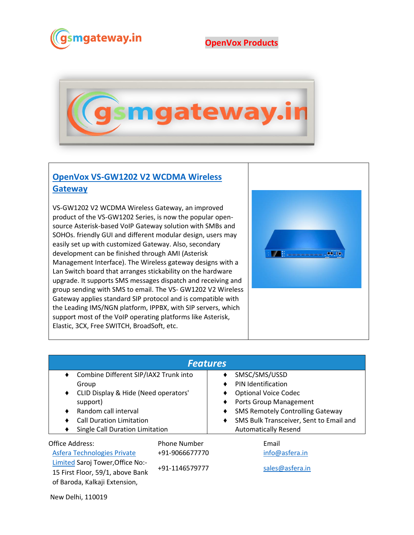

## **OpenVox Products**



## **[OpenVox VS-GW1202 V2 WCDMA Wireless](https://www.gsmgateway.in/openvox/VS-GW1202-V2-WCDMA-Wireless-Gateway.html)  [Gateway](https://www.gsmgateway.in/openvox/VS-GW1202-V2-WCDMA-Wireless-Gateway.html)**

VS-GW1202 V2 WCDMA Wireless Gateway, an improved product of the VS-GW1202 Series, is now the popular opensource Asterisk-based VoIP Gateway solution with SMBs and SOHOs. friendly GUI and different modular design, users may easily set up with customized Gateway. Also, secondary development can be finished through AMI (Asterisk Management Interface). The Wireless gateway designs with a Lan Switch board that arranges stickability on the hardware upgrade. It supports SMS messages dispatch and receiving and group sending with SMS to email. The VS- GW1202 V2 Wireless Gateway applies standard SIP protocol and is compatible with the Leading IMS/NGN platform, IPPBX, with SIP servers, which support most of the VoIP operating platforms like Asterisk, Elastic, 3CX, Free SWITCH, BroadSoft, etc.



| <b>Features</b>                                                      |                                       |                                  |                                         |  |  |  |  |  |
|----------------------------------------------------------------------|---------------------------------------|----------------------------------|-----------------------------------------|--|--|--|--|--|
| Combine Different SIP/IAX2 Trunk into<br>٠                           |                                       |                                  | SMSC/SMS/USSD                           |  |  |  |  |  |
| Group                                                                |                                       | ٠                                | PIN Identification                      |  |  |  |  |  |
| CLID Display & Hide (Need operators'<br>٠                            |                                       | <b>Optional Voice Codec</b><br>٠ |                                         |  |  |  |  |  |
| support)                                                             |                                       | ٠                                | Ports Group Management                  |  |  |  |  |  |
| Random call interval<br>٠                                            |                                       | ٠                                | <b>SMS Remotely Controlling Gateway</b> |  |  |  |  |  |
| <b>Call Duration Limitation</b>                                      |                                       | ٠                                | SMS Bulk Transceiver, Sent to Email and |  |  |  |  |  |
| Single Call Duration Limitation<br>٠                                 |                                       |                                  | <b>Automatically Resend</b>             |  |  |  |  |  |
| Office Address:<br>Asfera Technologies Private                       | <b>Phone Number</b><br>+91-9066677770 |                                  | Email<br>info@asfera.in                 |  |  |  |  |  |
|                                                                      |                                       |                                  |                                         |  |  |  |  |  |
| Limited Saroj Tower, Office No:-<br>15 First Floor, 59/1, above Bank | +91-1146579777                        |                                  | sales@asfera.in                         |  |  |  |  |  |

New Delhi, 110019

of Baroda, Kalkaji Extension,